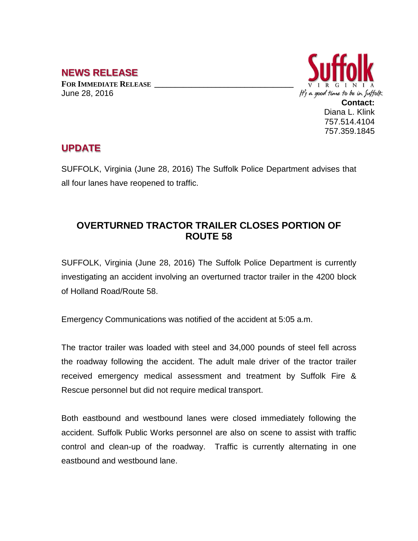## **NEWS RELEASE**

**FOR IMMEDIATE RELEASE \_\_\_\_\_\_\_\_\_\_\_\_\_\_\_\_\_\_\_\_\_\_\_\_\_\_\_\_\_\_\_\_\_\_** June 28, 2016



## **UPDATE**

SUFFOLK, Virginia (June 28, 2016) The Suffolk Police Department advises that all four lanes have reopened to traffic.

## **OVERTURNED TRACTOR TRAILER CLOSES PORTION OF ROUTE 58**

SUFFOLK, Virginia (June 28, 2016) The Suffolk Police Department is currently investigating an accident involving an overturned tractor trailer in the 4200 block of Holland Road/Route 58.

Emergency Communications was notified of the accident at 5:05 a.m.

The tractor trailer was loaded with steel and 34,000 pounds of steel fell across the roadway following the accident. The adult male driver of the tractor trailer received emergency medical assessment and treatment by Suffolk Fire & Rescue personnel but did not require medical transport.

Both eastbound and westbound lanes were closed immediately following the accident. Suffolk Public Works personnel are also on scene to assist with traffic control and clean-up of the roadway. Traffic is currently alternating in one eastbound and westbound lane.